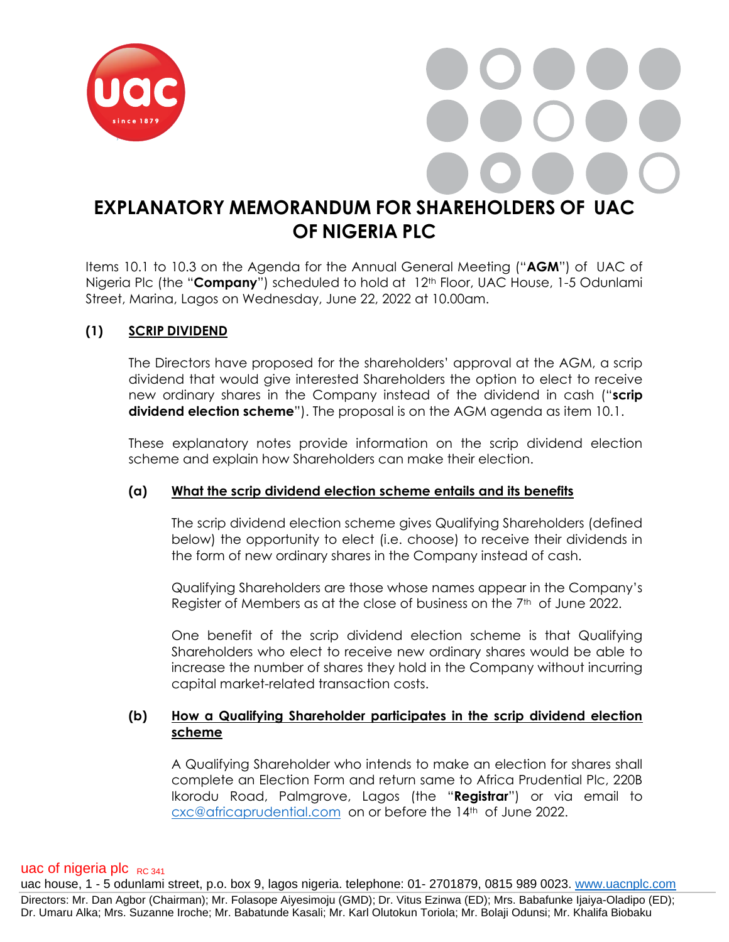

# **EXPLANATORY MEMORANDUM FOR SHAREHOLDERS OF UAC OF NIGERIA PLC**

Items 10.1 to 10.3 on the Agenda for the Annual General Meeting ("**AGM**") of UAC of Nigeria Plc (the "**Company**") scheduled to hold at 12<sup>th</sup> Floor, UAC House, 1-5 Odunlami Street, Marina, Lagos on Wednesday, June 22, 2022 at 10.00am.

# **(1) SCRIP DIVIDEND**

The Directors have proposed for the shareholders' approval at the AGM, a scrip dividend that would give interested Shareholders the option to elect to receive new ordinary shares in the Company instead of the dividend in cash ("**scrip dividend election scheme**"). The proposal is on the AGM agenda as item 10.1.

These explanatory notes provide information on the scrip dividend election scheme and explain how Shareholders can make their election.

#### **(a) What the scrip dividend election scheme entails and its benefits**

The scrip dividend election scheme gives Qualifying Shareholders (defined below) the opportunity to elect (i.e. choose) to receive their dividends in the form of new ordinary shares in the Company instead of cash.

Qualifying Shareholders are those whose names appear in the Company's Register of Members as at the close of business on the 7<sup>th</sup> of June 2022.

One benefit of the scrip dividend election scheme is that Qualifying Shareholders who elect to receive new ordinary shares would be able to increase the number of shares they hold in the Company without incurring capital market-related transaction costs.

#### **(b) How a Qualifying Shareholder participates in the scrip dividend election scheme**

A Qualifying Shareholder who intends to make an election for shares shall complete an Election Form and return same to Africa Prudential Plc, 220B Ikorodu Road, Palmgrove, Lagos (the "**Registrar**") or via email to [cxc@africaprudential.com](mailto:cxc@africaprudential.com) on or before the 14th of June 2022.

#### uac of nigeria plc  $_{RC 341}$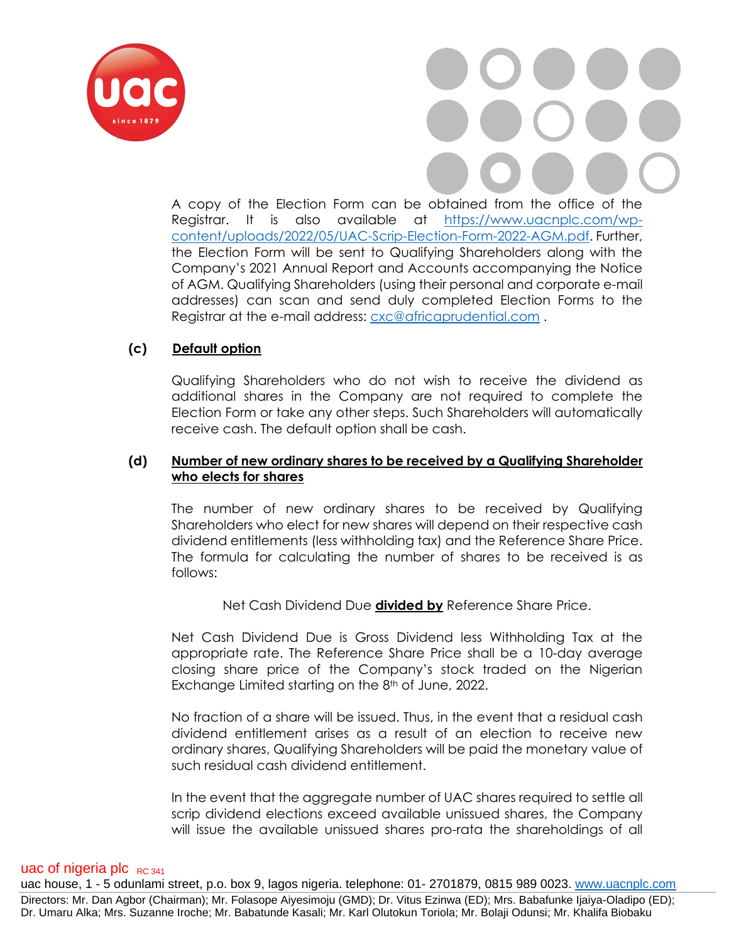

A copy of the Election Form can be obtained from the office of the Registrar. It is also available at [https://www.uacnplc.com/wp](https://www.uacnplc.com/wp-content/uploads/2022/05/UAC-Scrip-Election-Form-2022-AGM.pdf)[content/uploads/2022/05/UAC-Scrip-Election-Form-2022-AGM.pdf.](https://www.uacnplc.com/wp-content/uploads/2022/05/UAC-Scrip-Election-Form-2022-AGM.pdf) Further, the Election Form will be sent to Qualifying Shareholders along with the Company's 2021 Annual Report and Accounts accompanying the Notice of AGM. Qualifying Shareholders (using their personal and corporate e-mail addresses) can scan and send duly completed Election Forms to the Registrar at the e-mail address: [cxc@africaprudential.com](mailto:cxc@africaprudential.com).

# **(c) Default option**

Qualifying Shareholders who do not wish to receive the dividend as additional shares in the Company are not required to complete the Election Form or take any other steps. Such Shareholders will automatically receive cash. The default option shall be cash.

#### **(d) Number of new ordinary shares to be received by a Qualifying Shareholder who elects for shares**

The number of new ordinary shares to be received by Qualifying Shareholders who elect for new shares will depend on their respective cash dividend entitlements (less withholding tax) and the Reference Share Price. The formula for calculating the number of shares to be received is as follows:

Net Cash Dividend Due **divided by** Reference Share Price.

Net Cash Dividend Due is Gross Dividend less Withholding Tax at the appropriate rate. The Reference Share Price shall be a 10-day average closing share price of the Company's stock traded on the Nigerian Exchange Limited starting on the 8<sup>th</sup> of June, 2022.

No fraction of a share will be issued. Thus, in the event that a residual cash dividend entitlement arises as a result of an election to receive new ordinary shares, Qualifying Shareholders will be paid the monetary value of such residual cash dividend entitlement.

In the event that the aggregate number of UAC shares required to settle all scrip dividend elections exceed available unissued shares, the Company will issue the available unissued shares pro-rata the shareholdings of all

#### uac of nigeria plc  $_{RC,341}$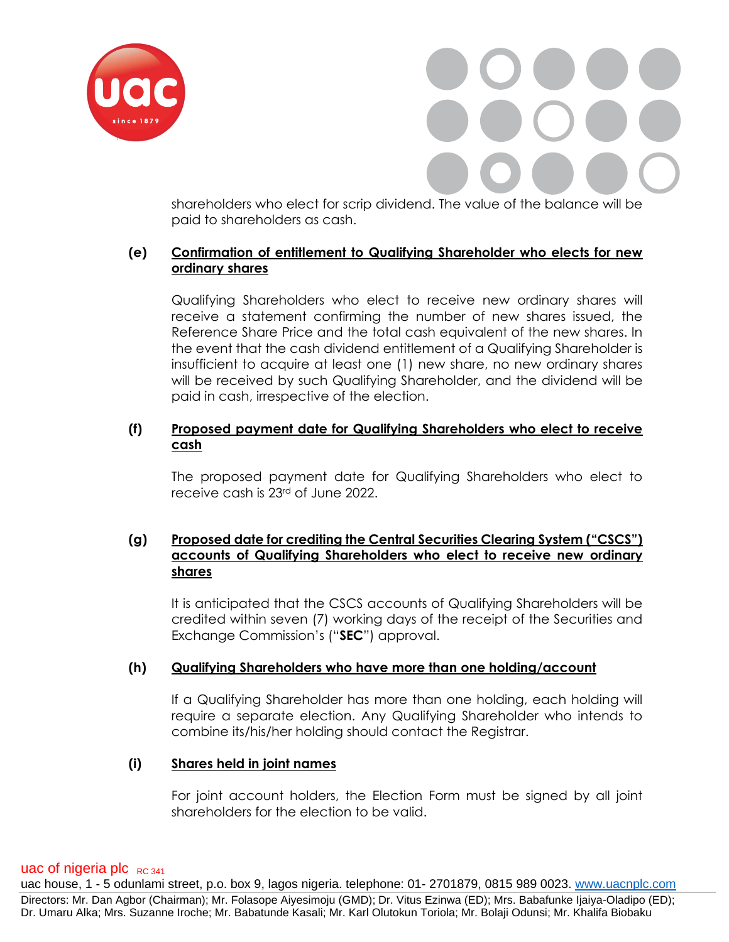

shareholders who elect for scrip dividend. The value of the balance will be paid to shareholders as cash.

### **(e) Confirmation of entitlement to Qualifying Shareholder who elects for new ordinary shares**

Qualifying Shareholders who elect to receive new ordinary shares will receive a statement confirming the number of new shares issued, the Reference Share Price and the total cash equivalent of the new shares. In the event that the cash dividend entitlement of a Qualifying Shareholder is insufficient to acquire at least one (1) new share, no new ordinary shares will be received by such Qualifying Shareholder, and the dividend will be paid in cash, irrespective of the election.

# **(f) Proposed payment date for Qualifying Shareholders who elect to receive cash**

The proposed payment date for Qualifying Shareholders who elect to receive cash is 23rd of June 2022.

#### **(g) Proposed date for crediting the Central Securities Clearing System ("CSCS") accounts of Qualifying Shareholders who elect to receive new ordinary shares**

It is anticipated that the CSCS accounts of Qualifying Shareholders will be credited within seven (7) working days of the receipt of the Securities and Exchange Commission's ("**SEC**") approval.

#### **(h) Qualifying Shareholders who have more than one holding/account**

If a Qualifying Shareholder has more than one holding, each holding will require a separate election. Any Qualifying Shareholder who intends to combine its/his/her holding should contact the Registrar.

#### **(i) Shares held in joint names**

For joint account holders, the Election Form must be signed by all joint shareholders for the election to be valid.

#### uac of nigeria plc  $_{RC,341}$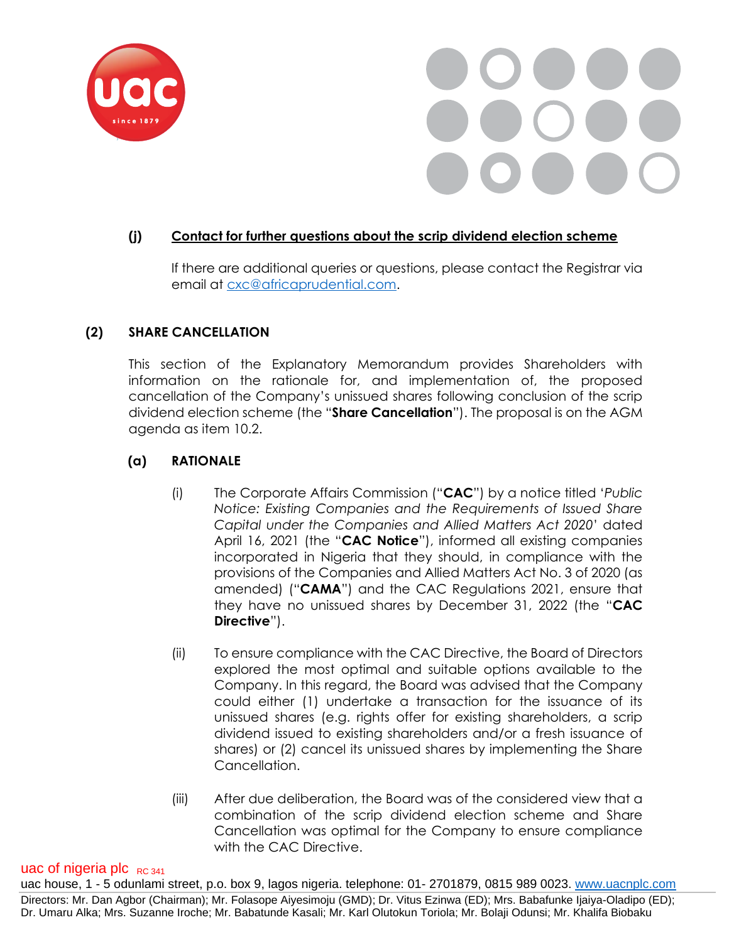



#### **(j) Contact for further questions about the scrip dividend election scheme**

If there are additional queries or questions, please contact the Registrar via email at [cxc@africaprudential.com.](mailto:cxc@africaprudential.com)

#### **(2) SHARE CANCELLATION**

This section of the Explanatory Memorandum provides Shareholders with information on the rationale for, and implementation of, the proposed cancellation of the Company's unissued shares following conclusion of the scrip dividend election scheme (the "**Share Cancellation**"). The proposal is on the AGM agenda as item 10.2.

#### **(a) RATIONALE**

- (i) The Corporate Affairs Commission ("**CAC**") by a notice titled '*Public Notice: Existing Companies and the Requirements of Issued Share Capital under the Companies and Allied Matters Act 2020*' dated April 16, 2021 (the "**CAC Notice**"), informed all existing companies incorporated in Nigeria that they should, in compliance with the provisions of the Companies and Allied Matters Act No. 3 of 2020 (as amended) ("**CAMA**") and the CAC Regulations 2021, ensure that they have no unissued shares by December 31, 2022 (the "**CAC Directive**").
- (ii) To ensure compliance with the CAC Directive, the Board of Directors explored the most optimal and suitable options available to the Company. In this regard, the Board was advised that the Company could either (1) undertake a transaction for the issuance of its unissued shares (e.g. rights offer for existing shareholders, a scrip dividend issued to existing shareholders and/or a fresh issuance of shares) or (2) cancel its unissued shares by implementing the Share Cancellation.
- (iii) After due deliberation, the Board was of the considered view that a combination of the scrip dividend election scheme and Share Cancellation was optimal for the Company to ensure compliance with the CAC Directive.

#### uac of nigeria plc  $_{RC,341}$